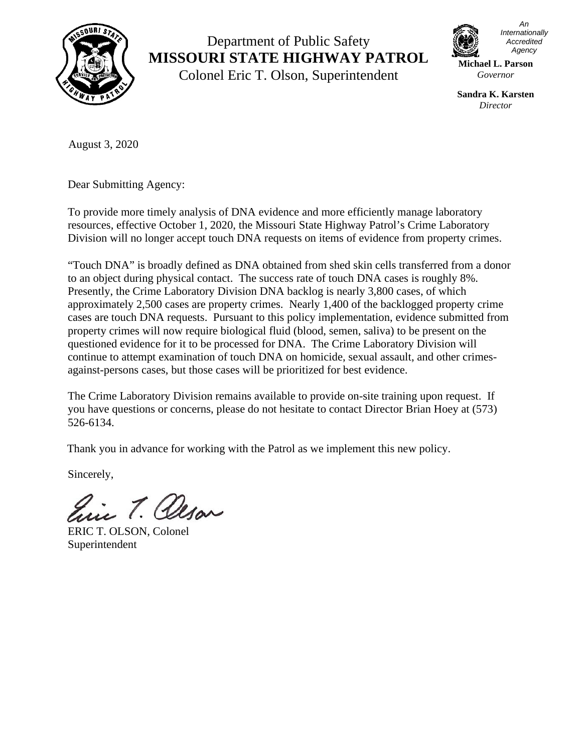

## Department of Public Safety **MISSOURI STATE HIGHWAY PATROL**

Colonel Eric T. Olson, Superintendent



*An Internationally Accredited Agency*

**Michael L. Parson** *Governor*

**Sandra K. Karsten** *Director*

August 3, 2020

Dear Submitting Agency:

To provide more timely analysis of DNA evidence and more efficiently manage laboratory resources, effective October 1, 2020, the Missouri State Highway Patrol's Crime Laboratory Division will no longer accept touch DNA requests on items of evidence from property crimes.

"Touch DNA" is broadly defined as DNA obtained from shed skin cells transferred from a donor to an object during physical contact. The success rate of touch DNA cases is roughly 8%. Presently, the Crime Laboratory Division DNA backlog is nearly 3,800 cases, of which approximately 2,500 cases are property crimes. Nearly 1,400 of the backlogged property crime cases are touch DNA requests. Pursuant to this policy implementation, evidence submitted from property crimes will now require biological fluid (blood, semen, saliva) to be present on the questioned evidence for it to be processed for DNA. The Crime Laboratory Division will continue to attempt examination of touch DNA on homicide, sexual assault, and other crimesagainst-persons cases, but those cases will be prioritized for best evidence.

The Crime Laboratory Division remains available to provide on-site training upon request. If you have questions or concerns, please do not hesitate to contact Director Brian Hoey at (573) 526-6134.

Thank you in advance for working with the Patrol as we implement this new policy.

Sincerely,

in T. Olson

ERIC T. OLSON, Colonel Superintendent